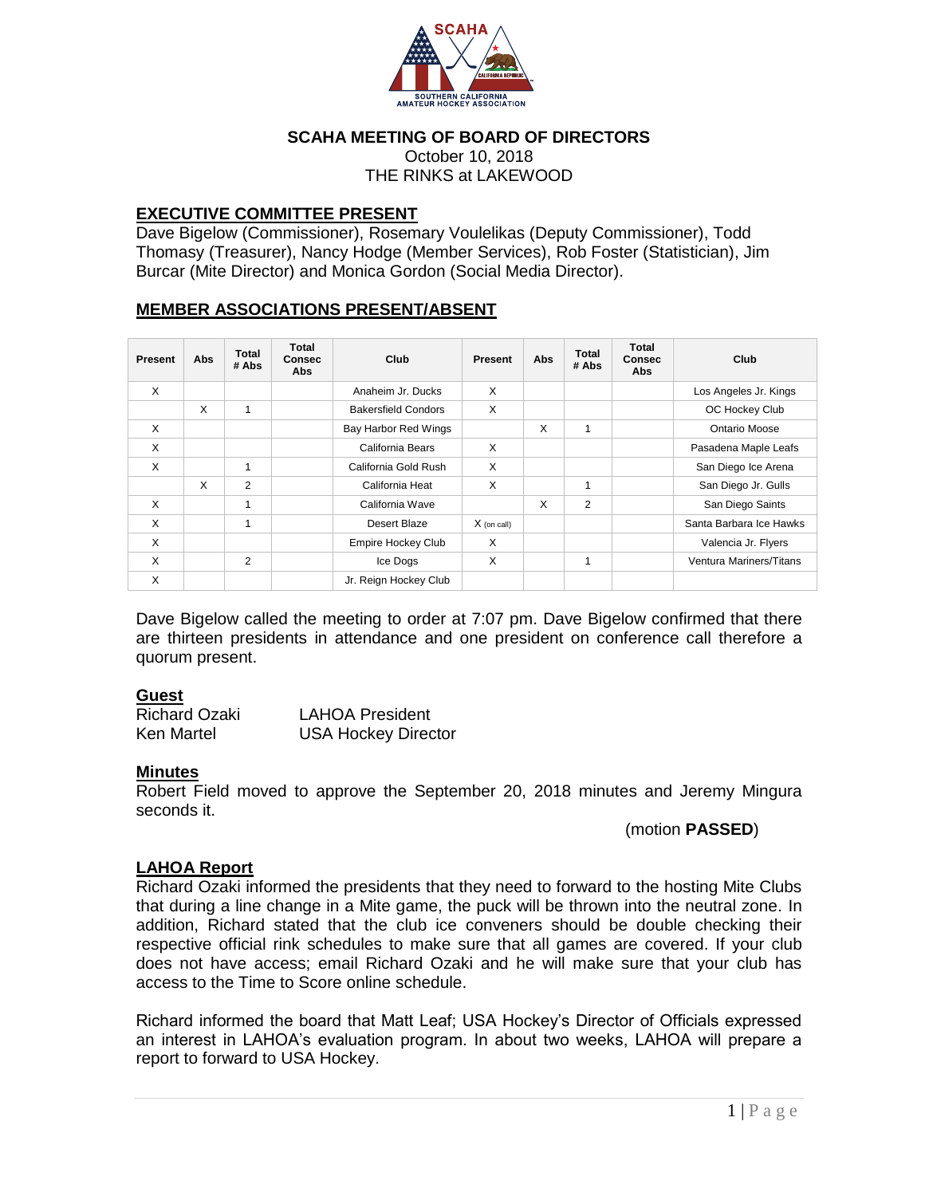

### **SCAHA MEETING OF BOARD OF DIRECTORS**

October 10, 2018 THE RINKS at LAKEWOOD

#### **EXECUTIVE COMMITTEE PRESENT**

Dave Bigelow (Commissioner), Rosemary Voulelikas (Deputy Commissioner), Todd Thomasy (Treasurer), Nancy Hodge (Member Services), Rob Foster (Statistician), Jim Burcar (Mite Director) and Monica Gordon (Social Media Director).

## **MEMBER ASSOCIATIONS PRESENT/ABSENT**

| <b>Present</b> | Abs | <b>Total</b><br># Abs | Total<br><b>Consec</b><br>Abs | Club                       | Present       | Abs | Total<br># Abs | <b>Total</b><br><b>Consec</b><br>Abs | Club                    |
|----------------|-----|-----------------------|-------------------------------|----------------------------|---------------|-----|----------------|--------------------------------------|-------------------------|
| X              |     |                       |                               | Anaheim Jr. Ducks          | X             |     |                |                                      | Los Angeles Jr. Kings   |
|                | X   | 1                     |                               | <b>Bakersfield Condors</b> | X             |     |                |                                      | OC Hockey Club          |
| X              |     |                       |                               | Bay Harbor Red Wings       |               | X   | 1              |                                      | Ontario Moose           |
| X              |     |                       |                               | California Bears           | X             |     |                |                                      | Pasadena Maple Leafs    |
| X              |     | 1                     |                               | California Gold Rush       | X             |     |                |                                      | San Diego Ice Arena     |
|                | X   | 2                     |                               | California Heat            | X             |     | 1              |                                      | San Diego Jr. Gulls     |
| X              |     | 1                     |                               | California Wave            |               | X   | $\overline{2}$ |                                      | San Diego Saints        |
| X              |     |                       |                               | Desert Blaze               | $X$ (on call) |     |                |                                      | Santa Barbara Ice Hawks |
| X              |     |                       |                               | <b>Empire Hockey Club</b>  | X             |     |                |                                      | Valencia Jr. Flyers     |
| X              |     | 2                     |                               | Ice Dogs                   | X             |     | 1              |                                      | Ventura Mariners/Titans |
| X              |     |                       |                               | Jr. Reign Hockey Club      |               |     |                |                                      |                         |

Dave Bigelow called the meeting to order at 7:07 pm. Dave Bigelow confirmed that there are thirteen presidents in attendance and one president on conference call therefore a quorum present.

#### **Guest**

| <b>Richard Ozaki</b> | <b>LAHOA President</b>     |
|----------------------|----------------------------|
| Ken Martel           | <b>USA Hockey Director</b> |

#### **Minutes**

Robert Field moved to approve the September 20, 2018 minutes and Jeremy Mingura seconds it.

(motion **PASSED**)

## **LAHOA Report**

Richard Ozaki informed the presidents that they need to forward to the hosting Mite Clubs that during a line change in a Mite game, the puck will be thrown into the neutral zone. In addition, Richard stated that the club ice conveners should be double checking their respective official rink schedules to make sure that all games are covered. If your club does not have access; email Richard Ozaki and he will make sure that your club has access to the Time to Score online schedule.

Richard informed the board that Matt Leaf; USA Hockey's Director of Officials expressed an interest in LAHOA's evaluation program. In about two weeks, LAHOA will prepare a report to forward to USA Hockey.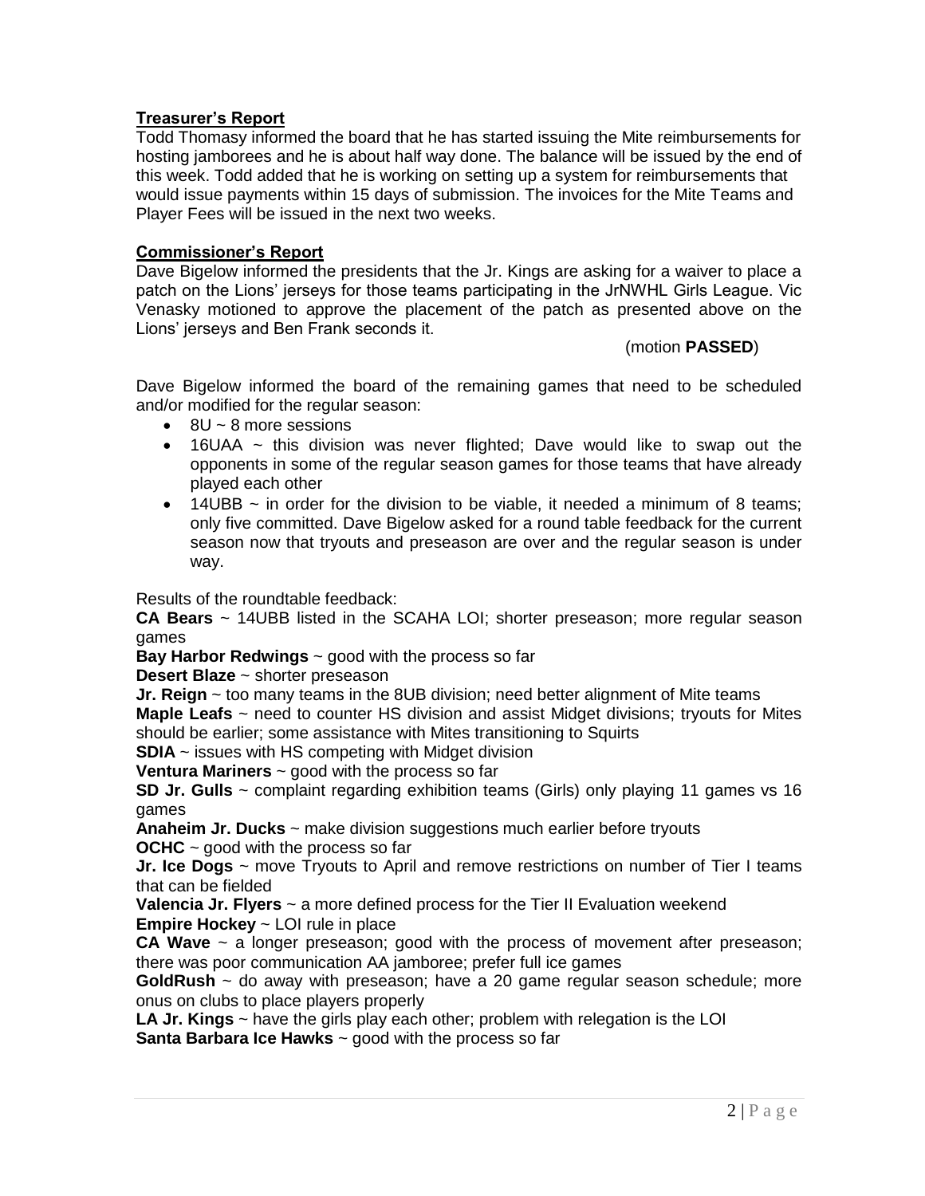# **Treasurer's Report**

Todd Thomasy informed the board that he has started issuing the Mite reimbursements for hosting jamborees and he is about half way done. The balance will be issued by the end of this week. Todd added that he is working on setting up a system for reimbursements that would issue payments within 15 days of submission. The invoices for the Mite Teams and Player Fees will be issued in the next two weeks.

## **Commissioner's Report**

Dave Bigelow informed the presidents that the Jr. Kings are asking for a waiver to place a patch on the Lions' jerseys for those teams participating in the JrNWHL Girls League. Vic Venasky motioned to approve the placement of the patch as presented above on the Lions' jerseys and Ben Frank seconds it.

## (motion **PASSED**)

Dave Bigelow informed the board of the remaining games that need to be scheduled and/or modified for the regular season:

- $\bullet$  8U ~ 8 more sessions
- $\bullet$  16UAA  $\sim$  this division was never flighted; Dave would like to swap out the opponents in some of the regular season games for those teams that have already played each other
- $\bullet$  14UBB ~ in order for the division to be viable, it needed a minimum of 8 teams; only five committed. Dave Bigelow asked for a round table feedback for the current season now that tryouts and preseason are over and the regular season is under way.

Results of the roundtable feedback:

**CA Bears** ~ 14UBB listed in the SCAHA LOI; shorter preseason; more regular season games

**Bay Harbor Redwings** ~ good with the process so far

**Desert Blaze** ~ shorter preseason

**Jr. Reign** ~ too many teams in the 8UB division; need better alignment of Mite teams

**Maple Leafs** ~ need to counter HS division and assist Midget divisions; tryouts for Mites should be earlier: some assistance with Mites transitioning to Squirts

**SDIA** ~ issues with HS competing with Midget division

**Ventura Mariners** ~ good with the process so far

**SD Jr. Gulls** ~ complaint regarding exhibition teams (Girls) only playing 11 games vs 16 games

**Anaheim Jr. Ducks** ~ make division suggestions much earlier before tryouts **OCHC** ~ good with the process so far

**Jr. Ice Dogs** ~ move Tryouts to April and remove restrictions on number of Tier I teams that can be fielded

**Valencia Jr. Flyers** ~ a more defined process for the Tier II Evaluation weekend **Empire Hockey** ~ LOI rule in place

**CA Wave** ~ a longer preseason; good with the process of movement after preseason; there was poor communication AA jamboree; prefer full ice games

**GoldRush** ~ do away with preseason; have a 20 game regular season schedule; more onus on clubs to place players properly

**LA Jr. Kings** ~ have the girls play each other; problem with relegation is the LOI **Santa Barbara Ice Hawks** ~ good with the process so far